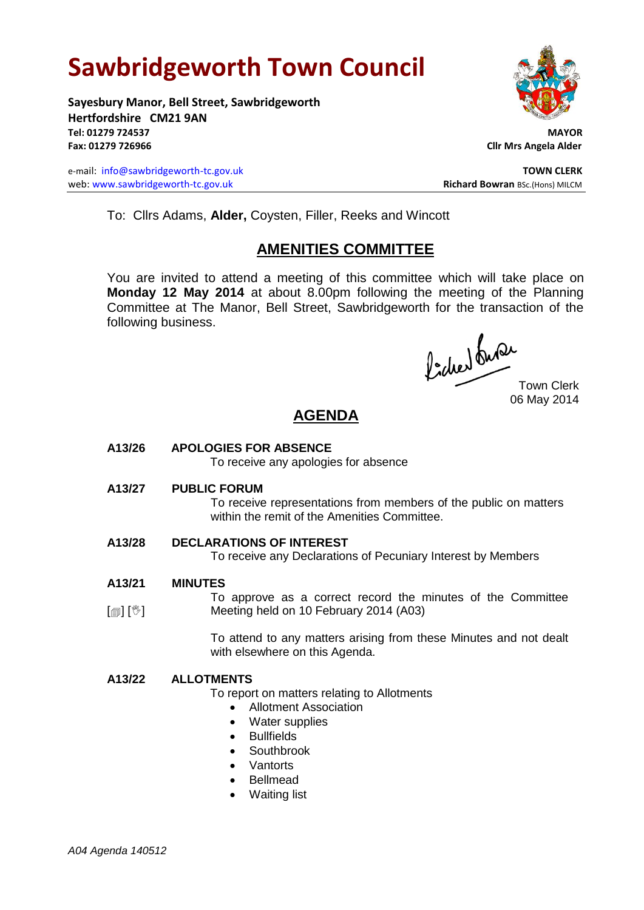# **Sawbridgeworth Town Council**

**Sayesbury Manor, Bell Street, Sawbridgeworth Hertfordshire CM21 9AN Tel: 01279 724537 MAYOR Fax: 01279 726966 Cllr Mrs Angela Alder**

e-mail: [info@sawbridgeworth-tc.gov.uk](mailto:info@sawbridgeworth-tc.gov.uk) **TOWN CLERK** web: www.sawbridgeworth-tc.gov.uk<br> **Richard Bowran** BSc.(Hons) MILCM



To: Cllrs Adams, **Alder,** Coysten, Filler, Reeks and Wincott

## **AMENITIES COMMITTEE**

You are invited to attend a meeting of this committee which will take place on **Monday 12 May 2014** at about 8.00pm following the meeting of the Planning Committee at The Manor, Bell Street, Sawbridgeworth for the transaction of the following business.

Picked Que

Town Clerk 06 May 2014

# **AGENDA**

**A13/26 APOLOGIES FOR ABSENCE**

To receive any apologies for absence

**A13/27 PUBLIC FORUM**

To receive representations from members of the public on matters within the remit of the Amenities Committee.

## **A13/28 DECLARATIONS OF INTEREST**

To receive any Declarations of Pecuniary Interest by Members

**A13/21 MINUTES**

 $\lceil \frac{m}{2} \rceil$   $\lceil \frac{m}{2} \rceil$ To approve as a correct record the minutes of the Committee Meeting held on 10 February 2014 (A03)

> To attend to any matters arising from these Minutes and not dealt with elsewhere on this Agenda.

#### **A13/22 ALLOTMENTS**

To report on matters relating to Allotments

- Allotment Association
- Water supplies
- Bullfields
- Southbrook
- Vantorts
- Bellmead
- Waiting list